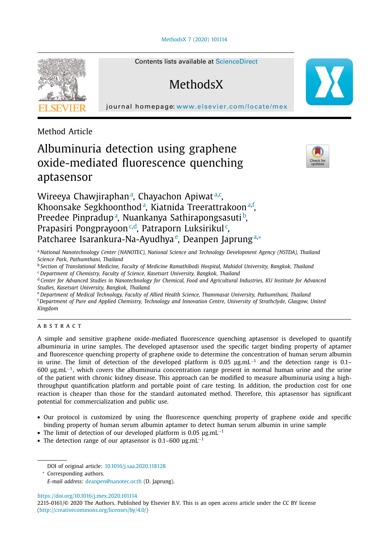#### [MethodsX](https://doi.org/10.1016/j.mex.2020.101114) 7 (2020) 101114



Contents lists available at [ScienceDirect](http://www.ScienceDirect.com)

# **MethodsX**

journal homepage: [www.elsevier.com/locate/mex](http://www.elsevier.com/locate/mex)

Method Article

# Albuminuria detection using graphene oxide-mediated fluorescence quenching aptasensor



Wireeya Chawjiraphan<sup>a</sup>, Chayachon Apiwat<sup>a,c</sup>, Khoonsake Segkhoonthod<sup>a</sup>, Kiatnida Treerattrakoon<sup>a,f</sup>, Preedee Pinpradup<sup>a</sup>, Nuankanya Sathirapongsasuti<sup>b</sup>, Prapasiri Pongprayoon<sup>c,d</sup>, Patraporn Luksirikul<sup>c</sup>, Patcharee Isarankura-Na-Ayudhya<sup>e</sup>, Deanpen Japrung<sup>a,</sup>\*

<sup>a</sup> *National Nanotechnology Center (NANOTEC), National Science and Technology Development Agency (NSTDA), Thailand Science Park, Pathumthani, Thailand*

<sup>b</sup> *Section of Translational Medicine, Faculty of Medicine Ramathibodi Hospital, Mahidol University, Bangkok, Thailand*

<sup>c</sup> *Department of Chemistry, Faculty of Science, Kasetsart University, Bangkok, Thailand*

<sup>d</sup> Center for Advanced Studies in Nanotechnology for Chemical, Food and Agricultural Industries, KU Institute for Advanced *Studies, Kasetsart University, Bangkok, Thailand.*

<sup>e</sup> *Department of Medical Technology, Faculty of Allied Health Science, Thammasat University, Pathumthani, Thailand* <sup>f</sup> Department of Pure and Applied Chemistry, Technology and Innovation Centre, University of Strathclyde, Glasgow, United *Kingdom*

## a b s t r a c t

A simple and sensitive graphene oxide-mediated fluorescence quenching aptasensor is developed to quantify albuminuria in urine samples. The developed aptasensor used the specific target binding property of aptamer and fluorescence quenching property of graphene oxide to determine the concentration of human serum albumin in urine. The limit of detection of the developed platform is 0.05 μg.mL<sup>−1</sup> and the detection range is 0.1– 600 μg.mL−1, which covers the albuminuria concentration range present in normal human urine and the urine of the patient with chronic kidney disease. This approach can be modified to measure albuminuria using a highthroughput quantification platform and portable point of care testing. In addition, the production cost for one reaction is cheaper than those for the standard automated method. Therefore, this aptasensor has significant potential for commercialization and public use.

- Our protocol is customized by using the fluorescence quenching property of graphene oxide and specific binding property of human serum albumin aptamer to detect human serum albumin in urine sample
- The limit of detection of our developed platform is 0.05  $\mu$ g.mL<sup>-1</sup>
- The detection range of our aptasensor is 0.1–600  $\mu$ g.mL<sup>-1</sup>

<https://doi.org/10.1016/j.mex.2020.101114>

DOI of original article: [10.1016/j.saa.2020.118128](https://doi.org/10.1016/j.saa.2020.118128)

<sup>∗</sup> Corresponding authors.

*E-mail address:* [deanpen@nanotec.or.th](mailto:deanpen@nanotec.or.th) (D. Japrung).

<sup>2215-0161/© 2020</sup> The Authors. Published by Elsevier B.V. This is an open access article under the CC BY license [\(http://creativecommons.org/licenses/by/4.0/\)](http://creativecommons.org/licenses/by/4.0/)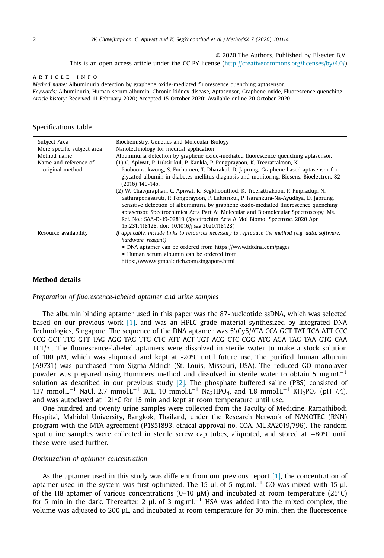© 2020 The Authors. Published by Elsevier B.V.

This is an open access article under the CC BY license [\(http://creativecommons.org/licenses/by/4.0/\)](http://creativecommons.org/licenses/by/4.0/)

## A R T I C I E I N E O

*Method name:* Albuminuria detection by graphene oxide-mediated fluorescence quenching aptasensor. *Keywords:* Albuminuria, Human serum albumin, Chronic kidney disease, Aptasensor, Graphene oxide, Fluorescence quenching *Article history:* Received 11 February 2020; Accepted 15 October 2020; Available online 20 October 2020

## Specifications table

| Subject Area<br>More specific subject area | Biochemistry, Genetics and Molecular Biology<br>Nanotechnology for medical application                                                                                       |
|--------------------------------------------|------------------------------------------------------------------------------------------------------------------------------------------------------------------------------|
| Method name                                | Albuminuria detection by graphene oxide-mediated fluorescence quenching aptasensor.                                                                                          |
| Name and reference of                      | (1) C. Apiwat, P. Luksirikul, P. Kankla, P. Pongprayoon, K. Treeratrakoon, K.                                                                                                |
| original method                            | Paoboonsukwong, S. Fucharoen, T. Dharakul, D. Japrung, Graphene based aptasensor for                                                                                         |
|                                            | glycated albumin in diabetes mellitus diagnosis and monitoring, Biosens, Bioelectron, 82                                                                                     |
|                                            | (2016) 140-145.                                                                                                                                                              |
|                                            | (2) W. Chawjiraphan, C. Apiwat, K. Segkhoonthod, K. Treerattrakoon, P. Pinpradup, N.                                                                                         |
|                                            | Sathirapongsasuti, P. Pongprayoon, P. Luksirikul, P. Isarankura-Na-Ayudhya, D. Japrung,                                                                                      |
|                                            | Sensitive detection of albuminuria by graphene oxide-mediated fluorescence quenching<br>aptasensor. Spectrochimica Acta Part A: Molecular and Biomolecular Spectroscopy. Ms. |
|                                            | Ref. No.: SAA-D-19-02819 (Spectrochim Acta A Mol Biomol Spectrosc. 2020 Apr<br>15;231:118128. doi: 10.1016/j.saa.2020.118128)                                                |
| Resource availability                      | If applicable, include links to resources necessary to reproduce the method $(e.g.$ data, software,<br>hardware, reagent)                                                    |
|                                            | • DNA aptamer can be ordered from https://www.idtdna.com/pages                                                                                                               |
|                                            | • Human serum albumin can be ordered from                                                                                                                                    |
|                                            | https://www.sigmaaldrich.com/singapore.html                                                                                                                                  |

#### **Method details**

*Preparation of fluorescence-labeled aptamer and urine samples*

The albumin binding aptamer used in this paper was the 87-nucleotide ssDNA, which was selected based on our previous work [\[1\],](#page-5-0) and was an HPLC grade material synthesized by Integrated DNA Technologies, Singapore. The sequence of the DNA aptamer was 5'/Cy5/ATA CCA GCT TAT TCA ATT CCC CCG GCT TTG GTT TAG AGG TAG TTG CTC ATT ACT TGT ACG CTC CGG ATG AGA TAG TAA GTG CAA TCT/3'. The fluorescence-labeled aptamers were dissolved in sterile water to make a stock solution of 100 μM, which was aliquoted and kept at -20°C until future use. The purified human albumin (A9731) was purchased from Sigma-Aldrich (St. Louis, Missouri, USA). The reduced GO monolayer powder was prepared using Hummers method and dissolved in sterile water to obtain 5 mg.mL<sup>-1</sup> solution as described in our previous study [\[2\].](#page-5-0) The phosphate buffered saline (PBS) consisted of 137 mmol.L<sup>-1</sup> NaCl, 2.7 mmol.L<sup>-1</sup> KCL, 10 mmol.L<sup>-1</sup> Na<sub>2</sub>HPO<sub>4</sub>, and 1.8 mmol.L<sup>-1</sup> KH<sub>2</sub>PO<sub>4</sub> (pH 7.4), and was autoclaved at  $121^{\circ}$ C for 15 min and kept at room temperature until use.

One hundred and twenty urine samples were collected from the Faculty of Medicine, Ramathibodi Hospital, Mahidol University, Bangkok, Thailand, under the Research Network of NANOTEC (RNN) program with the MTA agreement (P1851893, ethical approval no. COA. MURA2019/796). The random spot urine samples were collected in sterile screw cap tubes, aliquoted, and stored at −80°C until these were used further.

#### *Optimization of aptamer concentration*

As the aptamer used in this study was different from our previous report [\[1\],](#page-5-0) the concentration of aptamer used in the system was first optimized. The 15 µL of 5 mg.mL<sup>-1</sup> GO was mixed with 15 µL of the H8 aptamer of various concentrations (0–10 μM) and incubated at room temperature (25°C) for 5 min in the dark. Thereafter, 2 µL of 3 mg,mL<sup>-1</sup> HSA was added into the mixed complex, the volume was adjusted to 200 μL, and incubated at room temperature for 30 min, then the fluorescence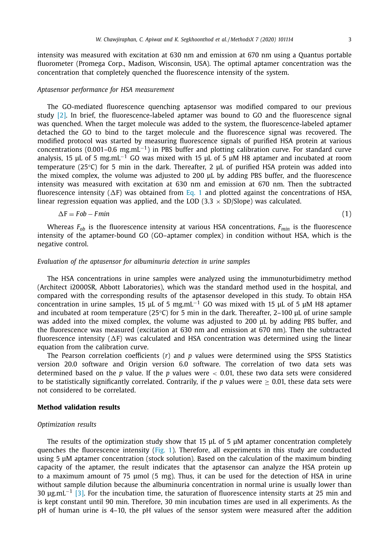intensity was measured with excitation at 630 nm and emission at 670 nm using a Quantus portable fluorometer (Promega Corp., Madison, Wisconsin, USA). The optimal aptamer concentration was the concentration that completely quenched the fluorescence intensity of the system.

## *Aptasensor performance for HSA measurement*

The GO-mediated fluorescence quenching aptasensor was modified compared to our previous study [\[2\].](#page-5-0) In brief, the fluorescence-labeled aptamer was bound to GO and the fluorescence signal was quenched. When the target molecule was added to the system, the fluorescence-labeled aptamer detached the GO to bind to the target molecule and the fluorescence signal was recovered. The modified protocol was started by measuring fluorescence signals of purified HSA protein at various concentrations (0.001–0.6 mg,mL<sup>-1</sup>) in PBS buffer and plotting calibration curve. For standard curve analysis, 15 μL of 5 mg,mL<sup>-1</sup> GO was mixed with 15 μL of 5 μM H8 aptamer and incubated at room temperature (25°C) for 5 min in the dark. Thereafter, 2 μL of purified HSA protein was added into the mixed complex, the volume was adjusted to 200 μL by adding PBS buffer, and the fluorescence intensity was measured with excitation at 630 nm and emission at 670 nm. Then the subtracted fluorescence intensity ( $\Delta$ F) was obtained from Eq. 1 and plotted against the concentrations of HSA, linear regression equation was applied, and the LOD (3.3  $\times$  SD/Slope) was calculated.

$$
\Delta F = Fob - Fmin \tag{1}
$$

Whereas *Fob* is the fluorescence intensity at various HSA concentrations, *Fmin* is the fluorescence intensity of the aptamer-bound GO (GO–aptamer complex) in condition without HSA, which is the negative control.

# *Evaluation of the aptasensor for albuminuria detection in urine samples*

The HSA concentrations in urine samples were analyzed using the immunoturbidimetry method (Architect i2000SR, Abbott Laboratories), which was the standard method used in the hospital, and compared with the corresponding results of the aptasensor developed in this study. To obtain HSA concentration in urine samples, 15 μL of 5 mg,mL $^{-1}$  GO was mixed with 15 μL of 5 μM H8 aptamer and incubated at room temperature (25°C) for 5 min in the dark. Thereafter, 2–100 μL of urine sample was added into the mixed complex, the volume was adjusted to 200 μL by adding PBS buffer, and the fluorescence was measured (excitation at 630 nm and emission at 670 nm). Then the subtracted fluorescence intensity ( $\Delta$ F) was calculated and HSA concentration was determined using the linear equation from the calibration curve.

The Pearson correlation coefficients (*r*) and *p* values were determined using the SPSS Statistics version 20.0 software and Origin version 6.0 software. The correlation of two data sets was determined based on the *p* value. If the *p* values were < 0.01, these two data sets were considered to be statistically significantly correlated. Contrarily, if the  $p$  values were  $\geq 0.01$ , these data sets were not considered to be correlated.

#### **Method validation results**

#### *Optimization results*

The results of the optimization study show that 15 μL of 5 μM aptamer concentration completely quenches the fluorescence intensity [\(Fig.](#page-3-0) 1). Therefore, all experiments in this study are conducted using 5 μM aptamer concentration (stock solution). Based on the calculation of the maximum binding capacity of the aptamer, the result indicates that the aptasensor can analyze the HSA protein up to a maximum amount of 75 μmol (5 mg). Thus, it can be used for the detection of HSA in urine without sample dilution because the albuminuria concentration in normal urine is usually lower than 30 μg.mL−<sup>1</sup> [\[3\].](#page-5-0) For the incubation time, the saturation of fluorescence intensity starts at 25 min and is kept constant until 90 min. Therefore, 30 min incubation times are used in all experiments. As the pH of human urine is 4–10, the pH values of the sensor system were measured after the addition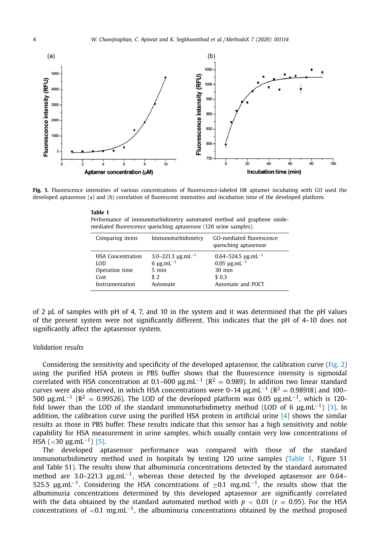<span id="page-3-0"></span>

**Fig. 1.** Fluorescence intensities of various concentrations of fluorescence-labeled H8 aptamer incubating with GO used the developed aptasensor (a) and (b) correlation of fluorescent intensities and incubation time of the developed platform.

| Table 1                                                                |  |  |  |  |  |
|------------------------------------------------------------------------|--|--|--|--|--|
| Performance of immunoturbidimetry automated method and graphene oxide- |  |  |  |  |  |
| mediated fluorescence quenching aptasensor (120 urine samples).        |  |  |  |  |  |

| Comparing items          | Immunoturbidimetry                 | GO-mediated fluorescence<br>quenching aptasensor |
|--------------------------|------------------------------------|--------------------------------------------------|
| <b>HSA Concentration</b> | 3.0-221.3 $\mu$ g.mL <sup>-1</sup> | $0.64 - 524.5$ µg.mL <sup>-1</sup>               |
| LOD                      | 6 $\mu$ g.mL <sup>-1</sup>         | $0.05 \mu g.mL^{-1}$                             |
| Operation time           | $5 \text{ min}$                    | $30 \text{ min}$                                 |
| Cost                     | \$2                                | \$ 0.3                                           |
| Instrumentation          | Automate                           | Automate and POCT                                |

of 2 μL of samples with pH of 4, 7, and 10 in the system and it was determined that the pH values of the present system were not significantly different. This indicates that the pH of 4–10 does not significantly affect the aptasensor system.

## *Validation results*

Considering the sensitivity and specificity of the developed aptasensor, the calibration curve [\(Fig.](#page-4-0) 2) using the purified HSA protein in PBS buffer shows that the fluorescence intensity is sigmoidal correlated with HSA concentration at 0.1–600  $\mu$ g.mL<sup>-1</sup> (R<sup>2</sup> = 0.989). In addition two linear standard curves were also observed, in which HSA concentrations were 0–14  $\mu$ g.mL<sup>-1</sup> (R<sup>2</sup> = 0.98918) and 100– 500  $\mu$ g,mL<sup>-1</sup> (R<sup>2</sup> = 0.99526). The LOD of the developed platform was 0.05  $\mu$ g,mL<sup>-1</sup>, which is 120fold lower than the LOD of the standard immunoturbidimetry method (LOD of 6  $\mu$ g,mL<sup>-1</sup>) [\[3\].](#page-5-0) In addition, the calibration curve using the purified HSA protein in artificial urine  $[4]$  shows the similar results as those in PBS buffer. These results indicate that this sensor has a high sensitivity and noble capability for HSA measurement in urine samples, which usually contain very low concentrations of HSA (<30  $\mu$ g.mL<sup>-1</sup>) [\[5\].](#page-5-0)

The developed aptasensor performance was compared with those of the standard immunoturbidimetry method used in hospitals by testing 120 urine samples (Table 1, Figure S1 and Table S1). The results show that albuminuria concentrations detected by the standard automated method are 3.0–221.3  $\mu$ g.mL<sup>-1</sup>, whereas those detected by the developed aptasensor are 0.64– 525.5  $\mu$ g,mL<sup>-1</sup>. Considering the HSA concentrations of >0.1 mg,mL<sup>-1</sup>, the results show that the albuminuria concentrations determined by this developed aptasensor are significantly correlated with the data obtained by the standard automated method with  $p < 0.01$  ( $r = 0.95$ ). For the HSA concentrations of <0.1 mg,mL<sup>-1</sup>, the albuminuria concentrations obtained by the method proposed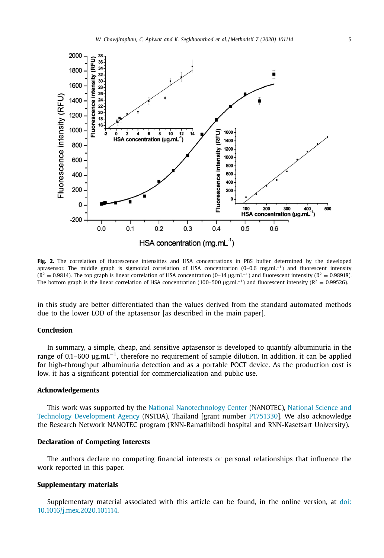<span id="page-4-0"></span>

**Fig. 2.** The correlation of fluorescence intensities and HSA concentrations in PBS buffer determined by the developed aptasensor. The middle graph is sigmoidal correlation of HSA concentration (0–0.6 mg.mL−1) and fluorescent intensity  $(R^2 = 0.9814)$ . The top graph is linear correlation of HSA concentration (0–14 µg.mL<sup>-1</sup>) and fluorescent intensity ( $R^2 = 0.98918$ ). The bottom graph is the linear correlation of HSA concentration (100–500  $\mu$ g.mL<sup>-1</sup>) and fluorescent intensity (R<sup>2</sup> = 0.99526).

in this study are better differentiated than the values derived from the standard automated methods due to the lower LOD of the aptasensor [as described in the main paper].

# **Conclusion**

In summary, a simple, cheap, and sensitive aptasensor is developed to quantify albuminuria in the range of 0.1–600 μg.mL−1, therefore no requirement of sample dilution. In addition, it can be applied for high-throughput albuminuria detection and as a portable POCT device. As the production cost is low, it has a significant potential for commercialization and public use.

## **Acknowledgements**

This work was supported by the National [Nanotechnology](https://doi.org/10.13039/501100007056) Center (NANOTEC), National Science and Technology Development Agency (NSTDA), Thailand [grant number P1751330]. We also acknowledge the Research Network NANOTEC program (RNN-Ramathibodi hospital and RNN-Kasetsart University).

# **Declaration of Competing Interests**

The authors declare no competing financial interests or personal relationships that influence the work reported in this paper.

## **Supplementary materials**

Supplementary material associated with this article can be found, in the online version, at doi: [10.1016/j.mex.2020.101114.](https://doi.org/10.1016/j.mex.2020.101114)